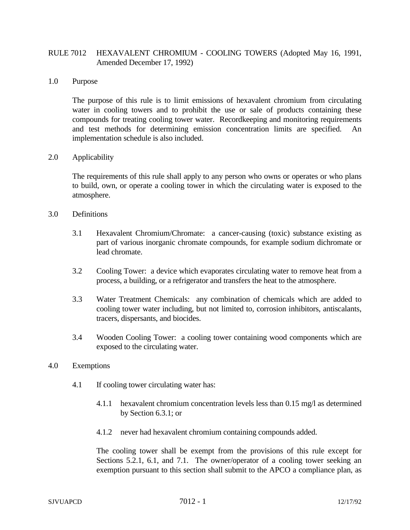# RULE 7012 HEXAVALENT CHROMIUM - COOLING TOWERS (Adopted May 16, 1991, Amended December 17, 1992)

### 1.0 Purpose

The purpose of this rule is to limit emissions of hexavalent chromium from circulating water in cooling towers and to prohibit the use or sale of products containing these compounds for treating cooling tower water. Recordkeeping and monitoring requirements and test methods for determining emission concentration limits are specified. An implementation schedule is also included.

## 2.0 Applicability

The requirements of this rule shall apply to any person who owns or operates or who plans to build, own, or operate a cooling tower in which the circulating water is exposed to the atmosphere.

## 3.0 Definitions

- 3.1 Hexavalent Chromium/Chromate: a cancer-causing (toxic) substance existing as part of various inorganic chromate compounds, for example sodium dichromate or lead chromate.
- 3.2 Cooling Tower: a device which evaporates circulating water to remove heat from a process, a building, or a refrigerator and transfers the heat to the atmosphere.
- 3.3 Water Treatment Chemicals: any combination of chemicals which are added to cooling tower water including, but not limited to, corrosion inhibitors, antiscalants, tracers, dispersants, and biocides.
- 3.4 Wooden Cooling Tower: a cooling tower containing wood components which are exposed to the circulating water.

#### 4.0 Exemptions

- 4.1 If cooling tower circulating water has:
	- 4.1.1 hexavalent chromium concentration levels less than 0.15 mg/l as determined by Section 6.3.1; or
	- 4.1.2 never had hexavalent chromium containing compounds added.

The cooling tower shall be exempt from the provisions of this rule except for Sections 5.2.1, 6.1, and 7.1. The owner/operator of a cooling tower seeking an exemption pursuant to this section shall submit to the APCO a compliance plan, as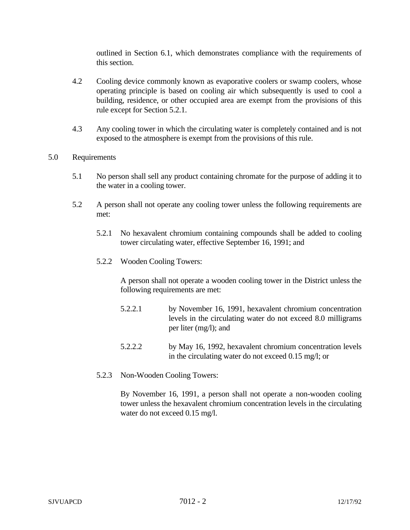outlined in Section 6.1, which demonstrates compliance with the requirements of this section.

- 4.2 Cooling device commonly known as evaporative coolers or swamp coolers, whose operating principle is based on cooling air which subsequently is used to cool a building, residence, or other occupied area are exempt from the provisions of this rule except for Section 5.2.1.
- 4.3 Any cooling tower in which the circulating water is completely contained and is not exposed to the atmosphere is exempt from the provisions of this rule.
- 5.0 Requirements
	- 5.1 No person shall sell any product containing chromate for the purpose of adding it to the water in a cooling tower.
	- 5.2 A person shall not operate any cooling tower unless the following requirements are met:
		- 5.2.1 No hexavalent chromium containing compounds shall be added to cooling tower circulating water, effective September 16, 1991; and
		- 5.2.2 Wooden Cooling Towers:

A person shall not operate a wooden cooling tower in the District unless the following requirements are met:

- 5.2.2.1 by November 16, 1991, hexavalent chromium concentration levels in the circulating water do not exceed 8.0 milligrams per liter (mg/l); and
- 5.2.2.2 by May 16, 1992, hexavalent chromium concentration levels in the circulating water do not exceed 0.15 mg/l; or
- 5.2.3 Non-Wooden Cooling Towers:

By November 16, 1991, a person shall not operate a non-wooden cooling tower unless the hexavalent chromium concentration levels in the circulating water do not exceed 0.15 mg/l.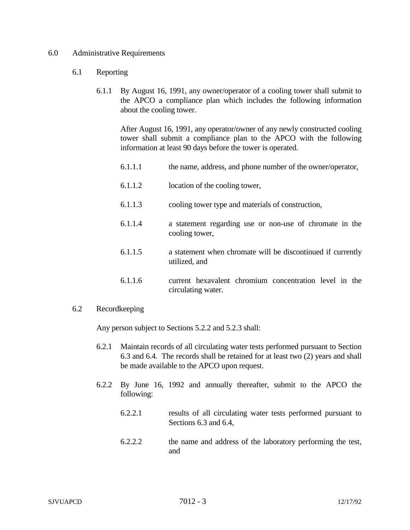## 6.0 Administrative Requirements

## 6.1 Reporting

6.1.1 By August 16, 1991, any owner/operator of a cooling tower shall submit to the APCO a compliance plan which includes the following information about the cooling tower.

After August 16, 1991, any operator/owner of any newly constructed cooling tower shall submit a compliance plan to the APCO with the following information at least 90 days before the tower is operated.

- 6.1.1.1 the name, address, and phone number of the owner/operator,
- 6.1.1.2 location of the cooling tower,
- 6.1.1.3 cooling tower type and materials of construction,
- 6.1.1.4 a statement regarding use or non-use of chromate in the cooling tower,
- 6.1.1.5 a statement when chromate will be discontinued if currently utilized, and
- 6.1.1.6 current hexavalent chromium concentration level in the circulating water.

## 6.2 Recordkeeping

Any person subject to Sections 5.2.2 and 5.2.3 shall:

- 6.2.1 Maintain records of all circulating water tests performed pursuant to Section 6.3 and 6.4. The records shall be retained for at least two (2) years and shall be made available to the APCO upon request.
- 6.2.2 By June 16, 1992 and annually thereafter, submit to the APCO the following:
	- 6.2.2.1 results of all circulating water tests performed pursuant to Sections 6.3 and 6.4,
	- 6.2.2.2 the name and address of the laboratory performing the test, and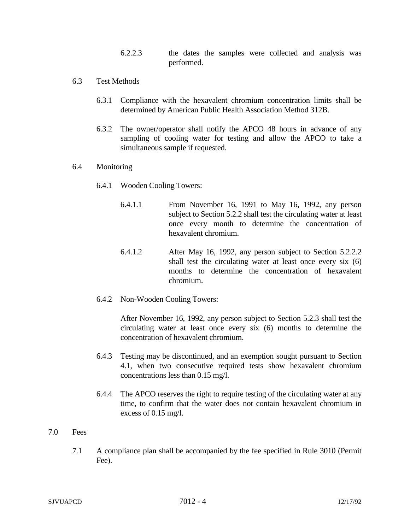6.2.2.3 the dates the samples were collected and analysis was performed.

- 6.3 Test Methods
	- 6.3.1 Compliance with the hexavalent chromium concentration limits shall be determined by American Public Health Association Method 312B.
	- 6.3.2 The owner/operator shall notify the APCO 48 hours in advance of any sampling of cooling water for testing and allow the APCO to take a simultaneous sample if requested.

## 6.4 Monitoring

- 6.4.1 Wooden Cooling Towers:
	- 6.4.1.1 From November 16, 1991 to May 16, 1992, any person subject to Section 5.2.2 shall test the circulating water at least once every month to determine the concentration of hexavalent chromium.
	- 6.4.1.2 After May 16, 1992, any person subject to Section 5.2.2.2 shall test the circulating water at least once every six (6) months to determine the concentration of hexavalent chromium.
- 6.4.2 Non-Wooden Cooling Towers:

After November 16, 1992, any person subject to Section 5.2.3 shall test the circulating water at least once every six (6) months to determine the concentration of hexavalent chromium.

- 6.4.3 Testing may be discontinued, and an exemption sought pursuant to Section 4.1, when two consecutive required tests show hexavalent chromium concentrations less than 0.15 mg/l.
- 6.4.4 The APCO reserves the right to require testing of the circulating water at any time, to confirm that the water does not contain hexavalent chromium in excess of 0.15 mg/l.
- 7.0 Fees
	- 7.1 A compliance plan shall be accompanied by the fee specified in Rule 3010 (Permit Fee).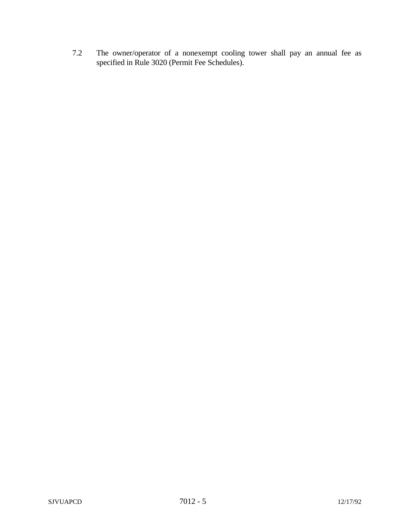7.2 The owner/operator of a nonexempt cooling tower shall pay an annual fee as specified in Rule 3020 (Permit Fee Schedules).